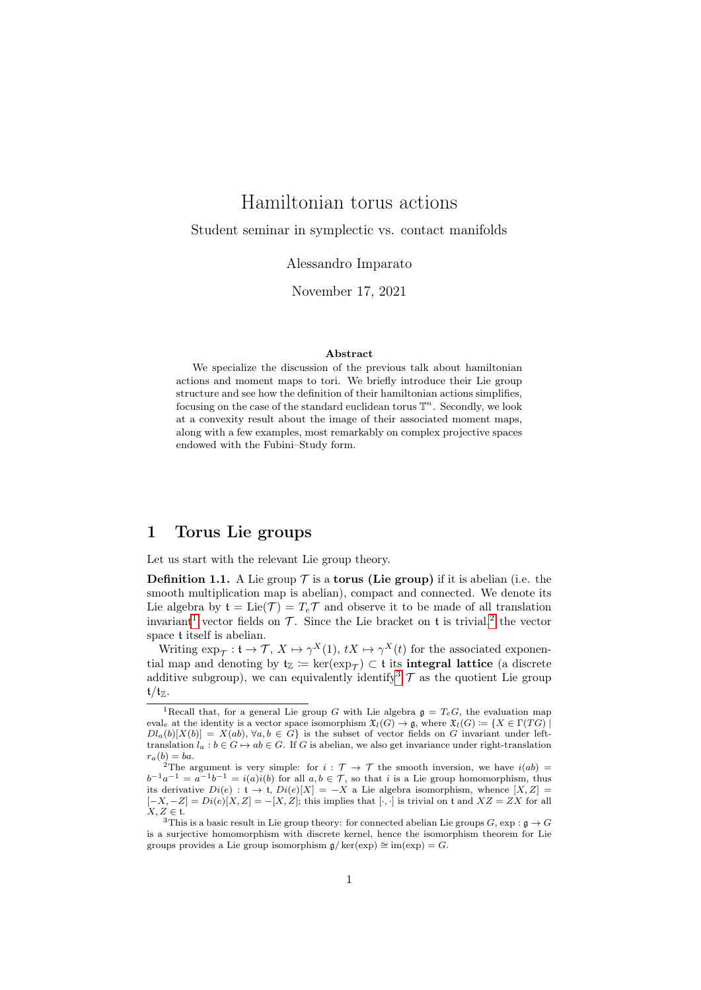# Hamiltonian torus actions

Student seminar in symplectic vs. contact manifolds

### Alessandro Imparato

November 17, 2021

#### Abstract

We specialize the discussion of the previous talk about hamiltonian actions and moment maps to tori. We briefly introduce their Lie group structure and see how the definition of their hamiltonian actions simplifies, focusing on the case of the standard euclidean torus  $\mathbb{T}^n$ . Secondly, we look at a convexity result about the image of their associated moment maps, along with a few examples, most remarkably on complex projective spaces endowed with the Fubini–Study form.

### 1 Torus Lie groups

Let us start with the relevant Lie group theory.

**Definition 1.1.** A Lie group  $\mathcal T$  is a **torus** (Lie group) if it is abelian (i.e. the smooth multiplication map is abelian), compact and connected. We denote its Lie algebra by  $\mathfrak{t} = \text{Lie}(\mathcal{T}) = T_e \mathcal{T}$  and observe it to be made of all translation invariant<sup>[1](#page-0-0)</sup> vector fields on  $\mathcal{T}$ . Since the Lie bracket on t is trivial,<sup>[2](#page-0-1)</sup> the vector space t itself is abelian.

Writing  $\exp_{\mathcal{T}}: \mathfrak{t} \to \mathcal{T}, X \mapsto \gamma^X(1), tX \mapsto \gamma^X(t)$  for the associated exponential map and denoting by  $\mathfrak{t}_{\mathbb{Z}} \coloneqq \ker(\exp_{\mathcal{T}}) \subset \mathfrak{t}$  its integral lattice (a discrete additive subgroup), we can equivalently identify  $\mathcal{T}$  as the quotient Lie group  $t/t_{\mathbb{Z}}$ .

<span id="page-0-0"></span><sup>&</sup>lt;sup>1</sup>Recall that, for a general Lie group G with Lie algebra  $\mathfrak{g} = T_eG$ , the evaluation map eval<sub>e</sub> at the identity is a vector space isomorphism  $\mathfrak{X}_l(G) \to \mathfrak{g}$ , where  $\mathfrak{X}_l(G) := \{ X \in \Gamma(TG) \mid$  $Dl_a(b)[X(b)] = X(ab), \forall a, b \in G$  is the subset of vector fields on G invariant under lefttranslation  $l_a : b \in G \mapsto ab \in G$ . If G is abelian, we also get invariance under right-translation  $r_a(b) = ba.$ 

<span id="page-0-1"></span><sup>&</sup>lt;sup>2</sup>The argument is very simple: for  $i : \mathcal{T} \to \mathcal{T}$  the smooth inversion, we have  $i(ab) =$  $b^{-1}a^{-1} = a^{-1}b^{-1} = i(a)i(b)$  for all  $a, b \in \mathcal{T}$ , so that i is a Lie group homomorphism, thus its derivative  $Di(e)$ :  $\mathfrak{t} \to \mathfrak{t}$ ,  $Di(e)[X] = -X$  a Lie algebra isomorphism, whence  $[X, Z] =$  $[-X, -Z] = Di(e)[X, Z] = -[X, Z];$  this implies that  $[\cdot, \cdot]$  is trivial on t and  $XZ = ZX$  for all  $X, Z \in \mathfrak{t}.$ 

<span id="page-0-2"></span><sup>&</sup>lt;sup>3</sup>This is a basic result in Lie group theory: for connected abelian Lie groups  $G$ ,  $\exp : \mathfrak{g} \to G$ is a surjective homomorphism with discrete kernel, hence the isomorphism theorem for Lie groups provides a Lie group isomorphism  $\mathfrak{a}/\text{ker}(\exp) \cong \text{im}(\exp) = G$ .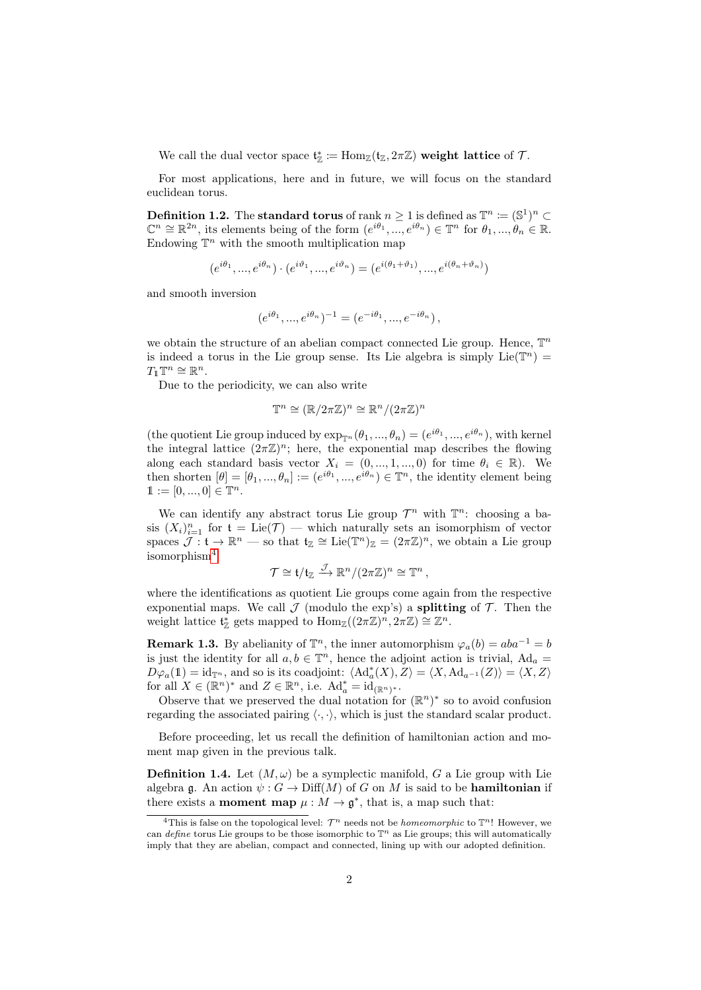We call the dual vector space  $\mathfrak{t}_\mathbb{Z}^* := \text{Hom}_{\mathbb{Z}}(\mathfrak{t}_\mathbb{Z}, 2\pi\mathbb{Z})$  weight lattice of  $\mathcal{T}$ .

For most applications, here and in future, we will focus on the standard euclidean torus.

**Definition 1.2.** The standard torus of rank  $n \geq 1$  is defined as  $\mathbb{T}^n \coloneqq (\mathbb{S}^1)^n \subset$  $\mathbb{C}^n \cong \mathbb{R}^{2n}$ , its elements being of the form  $(e^{i\theta_1}, ..., e^{i\theta_n}) \in \mathbb{T}^n$  for  $\theta_1, ..., \theta_n \in \mathbb{R}$ . Endowing  $\mathbb{T}^n$  with the smooth multiplication map

$$
(e^{i\theta_{1}},...,e^{i\theta_{n}})\cdot (e^{i\vartheta_{1}},...,e^{i\vartheta_{n}})=(e^{i(\theta_{1}+\vartheta_{1})},...,e^{i(\theta_{n}+\vartheta_{n})})
$$

and smooth inversion

$$
(e^{i\theta_1}, ..., e^{i\theta_n})^{-1} = (e^{-i\theta_1}, ..., e^{-i\theta_n}),
$$

we obtain the structure of an abelian compact connected Lie group. Hence,  $\mathbb{T}^n$ is indeed a torus in the Lie group sense. Its Lie algebra is simply  $Lie(T^n)$  =  $T_1\mathbb{T}^n\cong\mathbb{R}^n$ .

Due to the periodicity, we can also write

$$
\mathbb{T}^n \cong (\mathbb{R}/2\pi\mathbb{Z})^n \cong \mathbb{R}^n/(2\pi\mathbb{Z})^n
$$

(the quotient Lie group induced by  $\exp_{\mathbb{T}^n}(\theta_1, ..., \theta_n) = (e^{i\theta_1}, ..., e^{i\theta_n})$ , with kernel the integral lattice  $(2\pi\mathbb{Z})^n$ ; here, the exponential map describes the flowing along each standard basis vector  $X_i = (0, ..., 1, ..., 0)$  for time  $\theta_i \in \mathbb{R}$ ). We then shorten  $[\theta] = [\theta_1, ..., \theta_n] := (e^{i\theta_1}, ..., e^{i\theta_n}) \in \mathbb{T}^n$ , the identity element being  $1 := [0, ..., 0] \in \mathbb{T}^n$ .

We can identify any abstract torus Lie group  $\mathcal{T}^n$  with  $\mathbb{T}^n$ : choosing a basis  $(X_i)_{i=1}^n$  for  $\mathfrak{t} = \text{Lie}(\mathcal{T})$  — which naturally sets an isomorphism of vector spaces  $\mathcal{J}: \mathfrak{t} \to \mathbb{R}^n$  — so that  $\mathfrak{t}_{\mathbb{Z}} \cong \text{Lie}(\mathbb{T}^n)_{\mathbb{Z}} = (2\pi\mathbb{Z})^n$ , we obtain a Lie group isomorphism[4](#page-1-0)

$$
\mathcal{T} \cong \mathfrak{t}/\mathfrak{t}_{\mathbb{Z}} \xrightarrow{\mathcal{J}} \mathbb{R}^n/(2\pi\mathbb{Z})^n \cong \mathbb{T}^n ,
$$

where the identifications as quotient Lie groups come again from the respective exponential maps. We call  $\mathcal J$  (modulo the exp's) a **splitting** of  $\mathcal T$ . Then the weight lattice  $\mathfrak{t}_\mathbb{Z}^*$  gets mapped to  $\text{Hom}_{\mathbb{Z}}((2\pi\mathbb{Z})^n, 2\pi\mathbb{Z}) \cong \mathbb{Z}^n$ .

<span id="page-1-2"></span>**Remark 1.3.** By abelianity of  $\mathbb{T}^n$ , the inner automorphism  $\varphi_a(b) = aba^{-1} = b$ is just the identity for all  $a, b \in \mathbb{T}^n$ , hence the adjoint action is trivial,  $Ad_a =$  $D\varphi_a(\mathbb{1}) = \mathrm{id}_{\mathbb{T}^n}$ , and so is its coadjoint:  $\langle \mathrm{Ad}_a^*(X), Z \rangle = \langle X, \mathrm{Ad}_{a^{-1}}(Z) \rangle = \langle X, Z \rangle$ for all  $X \in (\mathbb{R}^n)^*$  and  $Z \in \mathbb{R}^n$ , i.e.  $\mathrm{Ad}^*_a = \mathrm{id}_{(\mathbb{R}^n)^*}$ .

Observe that we preserved the dual notation for  $(\mathbb{R}^n)^*$  so to avoid confusion regarding the associated pairing  $\langle \cdot, \cdot \rangle$ , which is just the standard scalar product.

Before proceeding, let us recall the definition of hamiltonian action and moment map given in the previous talk.

<span id="page-1-1"></span>**Definition 1.4.** Let  $(M, \omega)$  be a symplectic manifold, G a Lie group with Lie algebra g. An action  $\psi$ :  $G \to \text{Diff}(M)$  of G on M is said to be **hamiltonian** if there exists a **moment map**  $\mu : M \to \mathfrak{g}^*$ , that is, a map such that:

<span id="page-1-0"></span><sup>&</sup>lt;sup>4</sup>This is false on the topological level:  $\mathcal{T}^n$  needs not be *homeomorphic* to  $\mathbb{T}^n$ ! However, we can define torus Lie groups to be those isomorphic to  $\mathbb{T}^n$  as Lie groups; this will automatically imply that they are abelian, compact and connected, lining up with our adopted definition.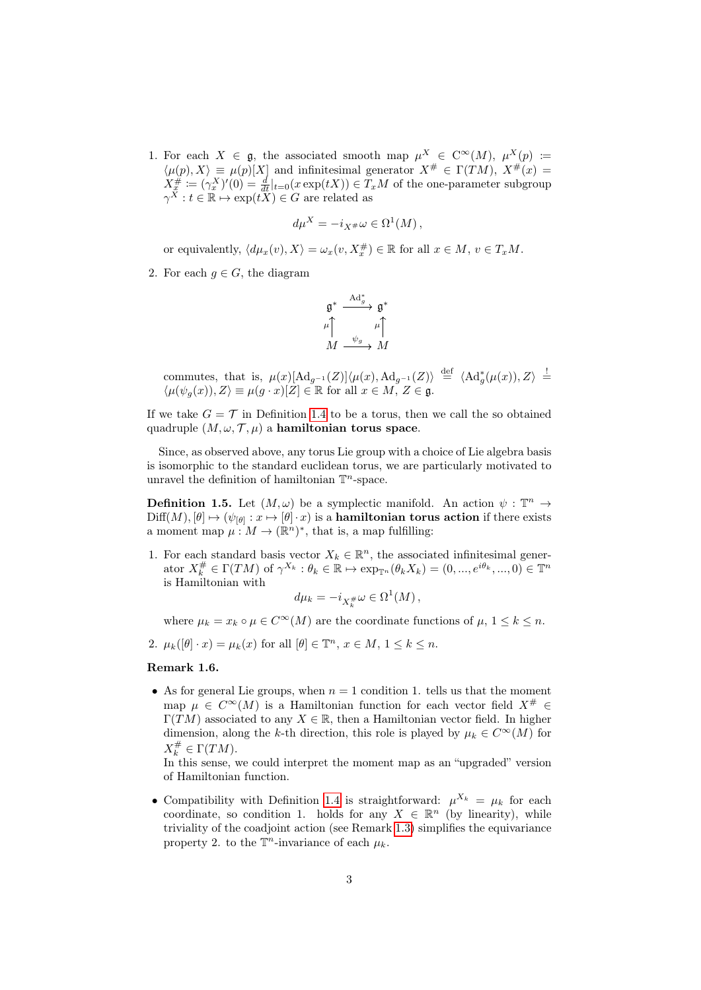1. For each  $X \in \mathfrak{g}$ , the associated smooth map  $\mu^X \in C^{\infty}(M)$ ,  $\mu^X(p) :=$  $\langle \mu(p), X \rangle \equiv \mu(p)[X]$  and infinitesimal generator  $X^{\#} \in \Gamma(TM)$ ,  $X^{\#}(x) =$  $X_{\overline{x}}^{\#}:=(\gamma^X_x)'(0)=\frac{d}{dt}|_{t=0}(x\exp(tX))\in T_xM$  of the one-parameter subgroup  $\gamma^{\tilde{X}}: t \in \mathbb{R} \mapsto \exp(t\tilde{X}) \in G$  are related as

$$
d\mu^X = -i_{X^{\#}}\omega \in \Omega^1(M)\,,
$$

or equivalently,  $\langle d\mu_x(v), X \rangle = \omega_x(v, X_x^{\#}) \in \mathbb{R}$  for all  $x \in M$ ,  $v \in T_xM$ .

2. For each  $g \in G$ , the diagram

$$
\mathfrak{g}^* \xrightarrow{\mathrm{Ad}^*_g} \mathfrak{g}^*
$$
\n
$$
\mu \uparrow \qquad \qquad \mu \uparrow
$$
\n
$$
M \xrightarrow{\psi_g} M
$$

commutes, that is,  $\mu(x)[\text{Ad}_{g^{-1}}(Z)] \langle \mu(x), \text{Ad}_{g^{-1}}(Z) \rangle \stackrel{\text{def}}{=} \langle \text{Ad}_g^*(\mu(x)), Z \rangle \stackrel{!}{=}$  $\langle \mu(\psi_g(x)), Z \rangle \equiv \mu(g \cdot x)[Z] \in \mathbb{R}$  for all  $x \in M$ ,  $Z \in \mathfrak{g}$ .

If we take  $G = \mathcal{T}$  in Definition [1.4](#page-1-1) to be a torus, then we call the so obtained quadruple  $(M, \omega, \mathcal{T}, \mu)$  a hamiltonian torus space.

Since, as observed above, any torus Lie group with a choice of Lie algebra basis is isomorphic to the standard euclidean torus, we are particularly motivated to unravel the definition of hamiltonian  $\mathbb{T}^n$ -space.

**Definition 1.5.** Let  $(M, \omega)$  be a symplectic manifold. An action  $\psi : \mathbb{T}^n \to$  $\mathrm{Diff}(M), [\theta] \mapsto (\psi_{[\theta]}: x \mapsto [\theta] \cdot x)$  is a hamiltonian torus action if there exists a moment map  $\mu: M \to (\mathbb{R}^n)^*$ , that is, a map fulfilling:

1. For each standard basis vector  $X_k \in \mathbb{R}^n$ , the associated infinitesimal generator  $X_k^{\#} \in \Gamma(TM)$  of  $\gamma^{X_k} : \theta_k \in \mathbb{R} \mapsto \exp_{\mathbb{T}^n}(\theta_k X_k) = (0, ..., e^{i\theta_k}, ..., 0) \in \mathbb{T}^n$ is Hamiltonian with

$$
d\mu_k = -i_{X_k^{\#}}\omega \in \Omega^1(M)\,,
$$

where  $\mu_k = x_k \circ \mu \in C^{\infty}(M)$  are the coordinate functions of  $\mu$ ,  $1 \leq k \leq n$ .

2.  $\mu_k([\theta] \cdot x) = \mu_k(x)$  for all  $[\theta] \in \mathbb{T}^n$ ,  $x \in M$ ,  $1 \leq k \leq n$ .

#### Remark 1.6.

• As for general Lie groups, when  $n = 1$  condition 1. tells us that the moment map  $\mu \in C^{\infty}(M)$  is a Hamiltonian function for each vector field  $X^{\#} \in$  $\Gamma(TM)$  associated to any  $X \in \mathbb{R}$ , then a Hamiltonian vector field. In higher dimension, along the k-th direction, this role is played by  $\mu_k \in C^{\infty}(M)$  for  $X_k^{\#} \in \Gamma(TM)$ .

In this sense, we could interpret the moment map as an "upgraded" version of Hamiltonian function.

• Compatibility with Definition [1.4](#page-1-1) is straightforward:  $\mu^{X_k} = \mu_k$  for each coordinate, so condition 1. holds for any  $X \in \mathbb{R}^n$  (by linearity), while triviality of the coadjoint action (see Remark [1.3\)](#page-1-2) simplifies the equivariance property 2. to the  $\mathbb{T}^n$ -invariance of each  $\mu_k$ .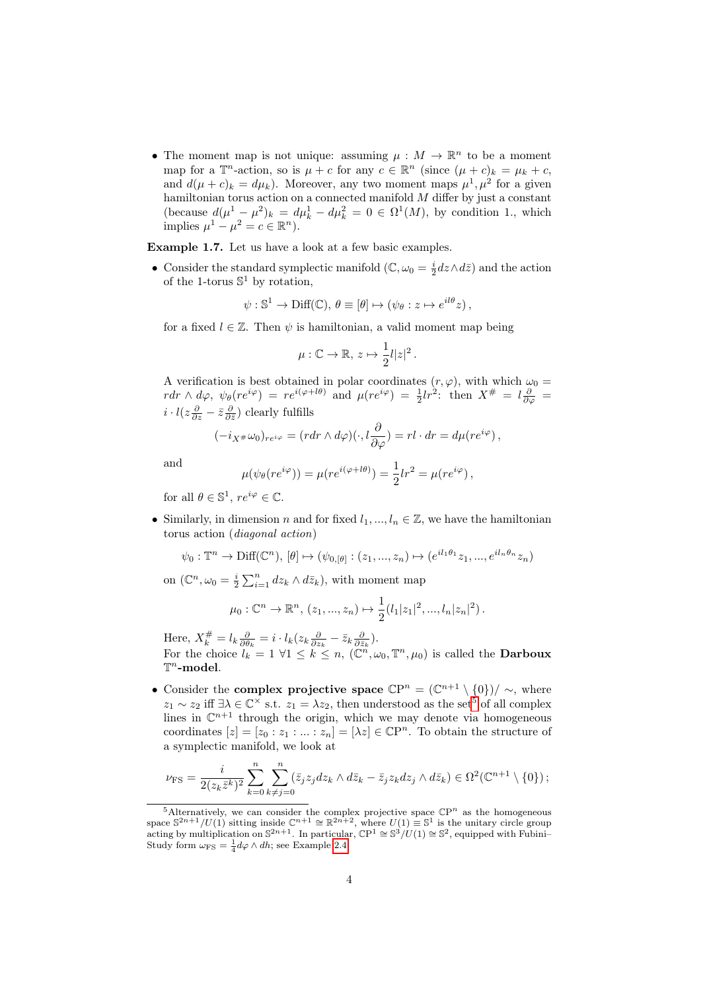• The moment map is not unique: assuming  $\mu : M \to \mathbb{R}^n$  to be a moment map for a  $\mathbb{T}^n$ -action, so is  $\mu + c$  for any  $c \in \mathbb{R}^n$  (since  $(\mu + c)_k = \mu_k + c$ , and  $d(\mu + c)_k = d\mu_k$ ). Moreover, any two moment maps  $\mu^1, \mu^2$  for a given hamiltonian torus action on a connected manifold  $M$  differ by just a constant (because  $d(\mu^1 - \mu^2)_k = d\mu_k^1 - d\mu_k^2 = 0 \in \Omega^1(M)$ , by condition 1., which implies  $\mu^1 - \mu^2 = c \in \mathbb{R}^n$ .

<span id="page-3-1"></span>Example 1.7. Let us have a look at a few basic examples.

• Consider the standard symplectic manifold  $(\mathbb{C}, \omega_0 = \frac{i}{2} dz \wedge d\overline{z})$  and the action of the 1-torus  $\mathbb{S}^1$  by rotation,

$$
\psi: \mathbb{S}^1 \to \text{Diff}(\mathbb{C}), \, \theta \equiv [\theta] \mapsto (\psi_{\theta} : z \mapsto e^{il\theta} z),
$$

for a fixed  $l \in \mathbb{Z}$ . Then  $\psi$  is hamiltonian, a valid moment map being

$$
\mu:\mathbb{C}\to\mathbb{R},\,z\mapsto\frac{1}{2}l|z|^2\,.
$$

A verification is best obtained in polar coordinates  $(r, \varphi)$ , with which  $\omega_0 =$  $rdr \wedge d\varphi$ ,  $\psi_{\theta}(re^{i\varphi}) = re^{i(\varphi + l\theta)}$  and  $\mu(re^{i\varphi}) = \frac{1}{2}lr^2$ : then  $X^{\#} = l\frac{\partial}{\partial \varphi}$  $i \cdot l(z \frac{\partial}{\partial z} - \bar{z} \frac{\partial}{\partial \bar{z}})$  clearly fulfills

$$
(-i_{X^{\#}}\omega_0)_{re^{i\varphi}} = (r dr \wedge d\varphi)(\cdot, l\frac{\partial}{\partial \varphi}) = rl \cdot dr = d\mu(re^{i\varphi}),
$$

and

$$
\mu(\psi_{\theta}(re^{i\varphi})) = \mu(re^{i(\varphi + l\theta)}) = \frac{1}{2}lr^2 = \mu(re^{i\varphi}),
$$

for all  $\theta \in \mathbb{S}^1$ ,  $re^{i\varphi} \in \mathbb{C}$ .

• Similarly, in dimension n and for fixed  $l_1, ..., l_n \in \mathbb{Z}$ , we have the hamiltonian torus action (diagonal action)

$$
\psi_0: \mathbb{T}^n \to \text{Diff}(\mathbb{C}^n), [\theta] \mapsto (\psi_{0, [\theta]} : (z_1, ..., z_n) \mapsto (e^{il_1\theta_1}z_1, ..., e^{il_n\theta_n}z_n)
$$

on  $(\mathbb{C}^n, \omega_0 = \frac{i}{2} \sum_{i=1}^n dz_k \wedge d\bar{z}_k)$ , with moment map

$$
\mu_0: \mathbb{C}^n \to \mathbb{R}^n, (z_1, ..., z_n) \mapsto \frac{1}{2}(l_1|z_1|^2, ..., l_n|z_n|^2).
$$

Here,  $X_k^{\#} = l_k \frac{\partial}{\partial \theta_k} = i \cdot l_k (z_k \frac{\partial}{\partial z_k} - \bar{z}_k \frac{\partial}{\partial \bar{z}_k}).$ For the choice  $l_k = 1 \forall 1 \leq k \leq n$ ,  $(\mathbb{C}^n, \omega_0, \mathbb{T}^n, \mu_0)$  is called the **Darboux**  $\mathbb{T}^n$ -model.

• Consider the **complex projective space**  $\mathbb{C}P^n = (\mathbb{C}^{n+1} \setminus \{0\})/\sim$ , where  $z_1 \sim z_2$  iff  $\exists \lambda \in \mathbb{C}^\times$  s.t.  $z_1 = \lambda z_2$ , then understood as the set<sup>[5](#page-3-0)</sup> of all complex lines in  $\mathbb{C}^{n+1}$  through the origin, which we may denote via homogeneous coordinates  $[z] = [z_0 : z_1 : ... : z_n] = [\lambda z] \in \mathbb{C}P^n$ . To obtain the structure of a symplectic manifold, we look at

$$
\nu_{\text{FS}} = \frac{i}{2(z_k \bar{z}^k)^2} \sum_{k=0}^n \sum_{k \neq j=0}^n (\bar{z}_j z_j dz_k \wedge d\bar{z}_k - \bar{z}_j z_k dz_j \wedge d\bar{z}_k) \in \Omega^2(\mathbb{C}^{n+1} \setminus \{0\});
$$

<span id="page-3-0"></span><sup>&</sup>lt;sup>5</sup>Alternatively, we can consider the complex projective space  $\mathbb{C}P^n$  as the homogeneous space  $S^{2n+1}/U(1)$  sitting inside  $\mathbb{C}^{n+1} \cong \mathbb{R}^{2n+2}$ , where  $U(1) \equiv S^1$  is the unitary circle group acting by multiplication on  $S^{2n+1}$ . In particular,  $\mathbb{C}P^1 \cong S^3/U(1) \cong S^2$ , equipped with Fubini– Study form  $\omega_{\text{FS}} = \frac{1}{4} d\varphi \wedge dh$ ; see Example [2.4.](#page-5-0)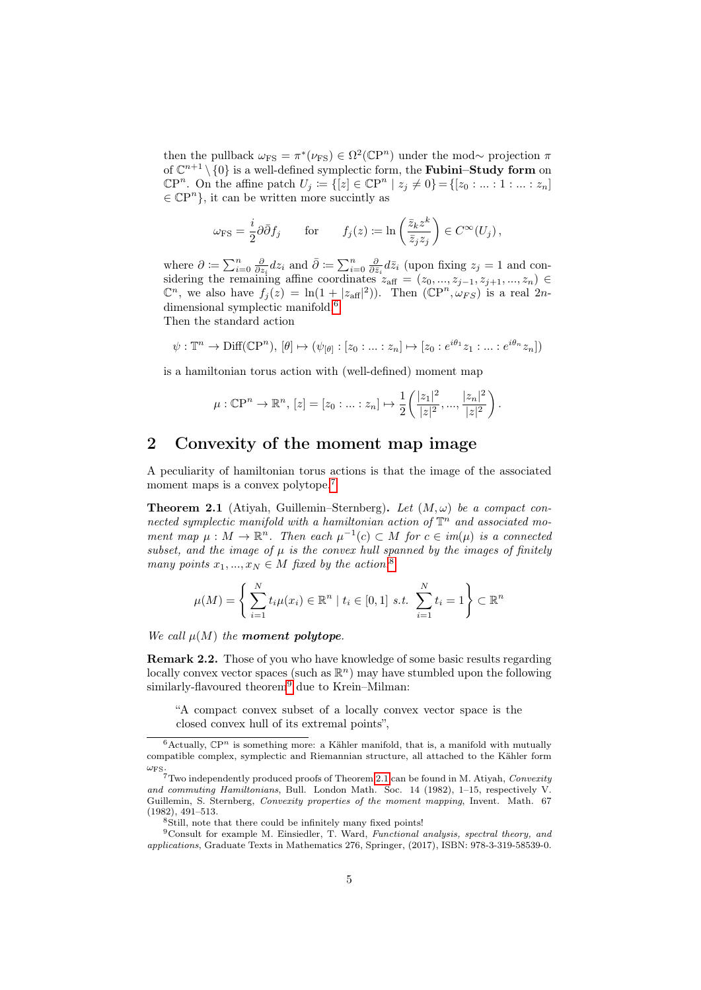then the pullback  $\omega_{\text{FS}} = \pi^*(\nu_{\text{FS}}) \in \Omega^2(\mathbb{C}P^n)$  under the mod~ projection  $\pi$ of  $\mathbb{C}^{n+1}\setminus\{0\}$  is a well-defined symplectic form, the **Fubini–Study form** on  $\mathbb{C}P^n$ . On the affine patch  $U_j := \{ [z] \in \mathbb{C}P^n \mid z_j \neq 0 \} = \{ [z_0 : ... : 1 : ... : z_n] \}$  $\in \mathbb{C}P^n$ , it can be written more succintly as

$$
\omega_{\text{FS}} = \frac{i}{2} \partial \bar{\partial} f_j
$$
 for  $f_j(z) \coloneqq \ln \left( \frac{\bar{z}_k z^k}{\bar{z}_j z_j} \right) \in C^\infty(U_j)$ ,

where  $\partial := \sum_{i=0}^n \frac{\partial}{\partial z_i} dz_i$  and  $\bar{\partial} := \sum_{i=0}^n \frac{\partial}{\partial \bar{z}_i} d\bar{z}_i$  (upon fixing  $z_j = 1$  and considering the remaining affine coordinates  $z_{\text{aff}} = (z_0, ..., z_{j-1}, z_{j+1}, ..., z_n) \in$  $\mathbb{C}^n$ , we also have  $f_j(z) = \ln(1 + |z_{\text{aff}}|^2)$ . Then  $(\mathbb{C}P^n, \omega_{FS})$  is a real  $2n$ -dimensional symplectic manifold.<sup>[6](#page-4-0)</sup>

Then the standard action

$$
\psi: \mathbb{T}^n \to \text{Diff}(\mathbb{C}P^n), [\theta] \mapsto (\psi_{[\theta]} : [z_0 : \dots : z_n] \mapsto [z_0 : e^{i\theta_1} z_1 : \dots : e^{i\theta_n} z_n])
$$

is a hamiltonian torus action with (well-defined) moment map

$$
\mu: \mathbb{C}\mathrm{P}^n \to \mathbb{R}^n, [z] = [z_0: \ldots : z_n] \mapsto \frac{1}{2} \left( \frac{|z_1|^2}{|z|^2}, \ldots, \frac{|z_n|^2}{|z|^2} \right).
$$

## 2 Convexity of the moment map image

A peculiarity of hamiltonian torus actions is that the image of the associated moment maps is a convex polytope.<sup>[7](#page-4-1)</sup>

<span id="page-4-4"></span>**Theorem 2.1** (Atiyah, Guillemin–Sternberg). Let  $(M, \omega)$  be a compact connected symplectic manifold with a hamiltonian action of  $\mathbb{T}^n$  and associated moment map  $\mu : M \to \mathbb{R}^n$ . Then each  $\mu^{-1}(c) \subset M$  for  $c \in im(\mu)$  is a connected subset, and the image of  $\mu$  is the convex hull spanned by the images of finitely many points  $x_1, ..., x_N \in M$  fixed by the action.<sup>[8](#page-4-2)</sup>

$$
\mu(M) = \left\{ \sum_{i=1}^{N} t_i \mu(x_i) \in \mathbb{R}^n \mid t_i \in [0,1] \text{ s.t. } \sum_{i=1}^{N} t_i = 1 \right\} \subset \mathbb{R}^n
$$

We call  $\mu(M)$  the moment polytope.

<span id="page-4-5"></span>**Remark 2.2.** Those of you who have knowledge of some basic results regarding locally convex vector spaces (such as  $\mathbb{R}^n$ ) may have stumbled upon the following similarly-flavoured theorem $^{9}$  $^{9}$  $^{9}$  due to Krein–Milman:

"A compact convex subset of a locally convex vector space is the closed convex hull of its extremal points",

<span id="page-4-0"></span> $6$ Actually,  $\mathbb{C}P^n$  is something more: a Kähler manifold, that is, a manifold with mutually compatible complex, symplectic and Riemannian structure, all attached to the Kähler form  $\omega_{\text{FS}}$ .

<span id="page-4-1"></span> $7$ Two independently produced proofs of Theorem [2.1](#page-4-4) can be found in M. Atiyah, Convexity and commuting Hamiltonians, Bull. London Math. Soc. 14 (1982), 1–15, respectively V. Guillemin, S. Sternberg, Convexity properties of the moment mapping, Invent. Math. 67 (1982), 491–513.

<span id="page-4-3"></span><span id="page-4-2"></span><sup>&</sup>lt;sup>8</sup>Still, note that there could be infinitely many fixed points!

<sup>9</sup>Consult for example M. Einsiedler, T. Ward, Functional analysis, spectral theory, and applications, Graduate Texts in Mathematics 276, Springer, (2017), ISBN: 978-3-319-58539-0.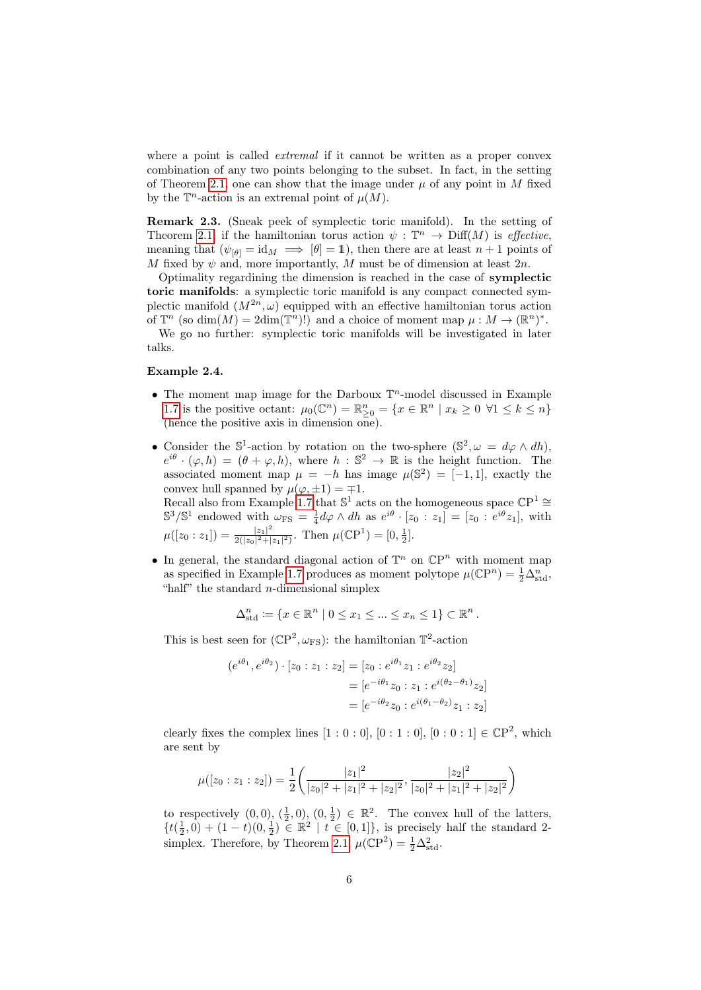where a point is called *extremal* if it cannot be written as a proper convex combination of any two points belonging to the subset. In fact, in the setting of Theorem [2.1,](#page-4-4) one can show that the image under  $\mu$  of any point in M fixed by the  $\mathbb{T}^n$ -action is an extremal point of  $\mu(M)$ .

Remark 2.3. (Sneak peek of symplectic toric manifold). In the setting of Theorem [2.1,](#page-4-4) if the hamiltonian torus action  $\psi : \mathbb{T}^n \to \text{Diff}(M)$  is *effective*, meaning that  $(\psi_{\lbrack \theta]} = \mathrm{id}_M \implies [\theta] = 1)$ , then there are at least  $n+1$  points of M fixed by  $\psi$  and, more importantly, M must be of dimension at least  $2n$ .

Optimality regardining the dimension is reached in the case of symplectic toric manifolds: a symplectic toric manifold is any compact connected symplectic manifold  $(M^{2n}, \omega)$  equipped with an effective hamiltonian torus action of  $\mathbb{T}^n$  (so  $\dim(M) = 2\dim(\mathbb{T}^n)!$ ) and a choice of moment map  $\mu : M \to (\mathbb{R}^n)^*$ .

We go no further: symplectic toric manifolds will be investigated in later talks.

#### <span id="page-5-0"></span>Example 2.4.

- The moment map image for the Darboux  $\mathbb{T}^n$ -model discussed in Example [1.7](#page-3-1) is the positive octant:  $\mu_0(\mathbb{C}^n) = \mathbb{R}^n \geq 0 \{x \in \mathbb{R}^n \mid x_k \geq 0 \; \forall 1 \leq k \leq n\}$ (hence the positive axis in dimension one).
- Consider the  $\mathbb{S}^1$ -action by rotation on the two-sphere  $(\mathbb{S}^2, \omega = d\varphi \wedge dh)$ ,  $e^{i\theta} \cdot (\varphi, h) = (\theta + \varphi, h)$ , where  $h : \mathbb{S}^2 \to \mathbb{R}$  is the height function. The associated moment map  $\mu = -h$  has image  $\mu(\mathbb{S}^2) = [-1,1]$ , exactly the convex hull spanned by  $\mu(\varphi, \pm 1) = \mp 1$ . Recall also from Example [1.7](#page-3-1) that  $\mathbb{S}^1$  acts on the homogeneous space  $\mathbb{C}P^1 \cong$

 $\mathbb{S}^3/\mathbb{S}^1$  endowed with  $\omega_{\text{FS}} = \frac{1}{4} d\varphi \wedge dh$  as  $e^{i\theta} \cdot [z_0 : z_1] = [z_0 : e^{i\theta} z_1]$ , with  $\mu([z_0:z_1])=\frac{|z_1|^2}{2(|z_0|^2+1)}$  $\frac{|z_1|^2}{2(|z_0|^2+|z_1|^2)}$ . Then  $\mu(\mathbb{C}P^1)=[0,\frac{1}{2}].$ 

• In general, the standard diagonal action of  $\mathbb{T}^n$  on  $\mathbb{C}P^n$  with moment map as specified in Example [1.7](#page-3-1) produces as moment polytope  $\mu(\mathbb{C}P^n) = \frac{1}{2} \Delta_{\text{std}}^n$ , "half" the standard  $n$ -dimensional simplex

$$
\Delta_{\text{std}}^n \coloneqq \{ x \in \mathbb{R}^n \mid 0 \le x_1 \le \dots \le x_n \le 1 \} \subset \mathbb{R}^n.
$$

This is best seen for  $(\mathbb{C}P^2, \omega_{FS})$ : the hamiltonian  $\mathbb{T}^2$ -action

$$
(e^{i\theta_1}, e^{i\theta_2}) \cdot [z_0 : z_1 : z_2] = [z_0 : e^{i\theta_1} z_1 : e^{i\theta_2} z_2]
$$
  
= 
$$
[e^{-i\theta_1} z_0 : z_1 : e^{i(\theta_2 - \theta_1)} z_2]
$$
  
= 
$$
[e^{-i\theta_2} z_0 : e^{i(\theta_1 - \theta_2)} z_1 : z_2]
$$

clearly fixes the complex lines  $[1:0:0], [0:1:0], [0:0:1] \in \mathbb{C}P^2$ , which are sent by

$$
\mu([z_0:z_1:z_2]) = \frac{1}{2} \left( \frac{|z_1|^2}{|z_0|^2 + |z_1|^2 + |z_2|^2}, \frac{|z_2|^2}{|z_0|^2 + |z_1|^2 + |z_2|^2} \right)
$$

to respectively  $(0,0), (\frac{1}{2},0), (0,\frac{1}{2}) \in \mathbb{R}^2$ . The convex hull of the latters,  $\{t(\frac{1}{2},0)+(1-t)(0,\frac{1}{2})\in\mathbb{R}^2\mid t\in[0,1]\},\$ is precisely half the standard 2-simplex. Therefore, by Theorem [2.1,](#page-4-4)  $\mu(\mathbb{C}P^2) = \frac{1}{2}\Delta_{\text{std}}^2$ .